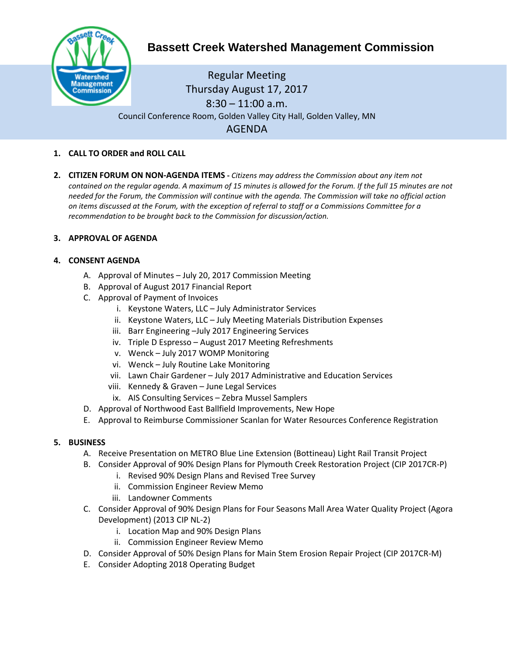

# **Bassett Creek Watershed Management Commission**

Regular Meeting Thursday August 17, 2017 8:30 – 11:00 a.m. Council Conference Room, Golden Valley City Hall, Golden Valley, MN AGENDA

- **1. CALL TO ORDER and ROLL CALL**
- **2. CITIZEN FORUM ON NON-AGENDA ITEMS -** *Citizens may address the Commission about any item not contained on the regular agenda. A maximum of 15 minutes is allowed for the Forum. If the full 15 minutes are not needed for the Forum, the Commission will continue with the agenda. The Commission will take no official action on items discussed at the Forum, with the exception of referral to staff or a Commissions Committee for a recommendation to be brought back to the Commission for discussion/action.*

## **3. APPROVAL OF AGENDA**

## **4. CONSENT AGENDA**

- A. Approval of Minutes July 20, 2017 Commission Meeting
- B. Approval of August 2017 Financial Report
- C. Approval of Payment of Invoices
	- i. Keystone Waters, LLC July Administrator Services
	- ii. Keystone Waters, LLC July Meeting Materials Distribution Expenses
	- iii. Barr Engineering –July 2017 Engineering Services
	- iv. Triple D Espresso August 2017 Meeting Refreshments
	- v. Wenck July 2017 WOMP Monitoring
	- vi. Wenck July Routine Lake Monitoring
	- vii. Lawn Chair Gardener July 2017 Administrative and Education Services
	- viii. Kennedy & Graven June Legal Services
	- ix. AIS Consulting Services Zebra Mussel Samplers
- D. Approval of Northwood East Ballfield Improvements, New Hope
- E. Approval to Reimburse Commissioner Scanlan for Water Resources Conference Registration

#### **5. BUSINESS**

- A. Receive Presentation on METRO Blue Line Extension (Bottineau) Light Rail Transit Project
- B. Consider Approval of 90% Design Plans for Plymouth Creek Restoration Project (CIP 2017CR-P)
	- i. Revised 90% Design Plans and Revised Tree Survey
		- ii. Commission Engineer Review Memo
		- iii. Landowner Comments
- C. Consider Approval of 90% Design Plans for Four Seasons Mall Area Water Quality Project (Agora Development) (2013 CIP NL-2)
	- i. Location Map and 90% Design Plans
	- ii. Commission Engineer Review Memo
- D. Consider Approval of 50% Design Plans for Main Stem Erosion Repair Project (CIP 2017CR-M)
- E. Consider Adopting 2018 Operating Budget